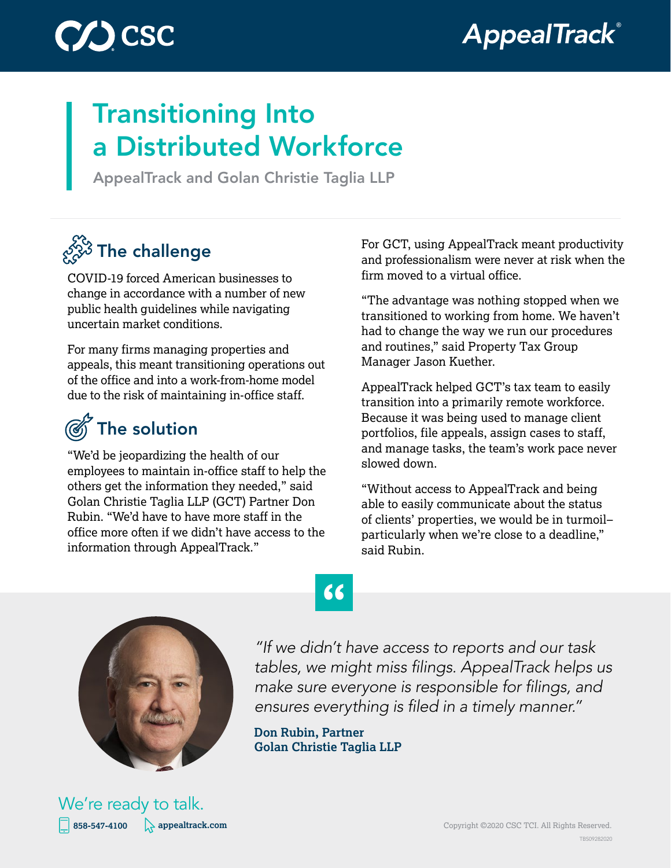



## Transitioning Into a Distributed Workforce

AppealTrack and Golan Christie Taglia LLP

## $\mathscr{E}^{\!\!N\!3}_{\!\!\mathscr{S}}$  The challenge

COVID-19 forced American businesses to change in accordance with a number of new public health guidelines while navigating uncertain market conditions.

For many firms managing properties and appeals, this meant transitioning operations out of the office and into a work-from-home model due to the risk of maintaining in-office staff.

## The solution

"We'd be jeopardizing the health of our employees to maintain in-office staff to help the others get the information they needed," said Golan Christie Taglia LLP (GCT) Partner Don Rubin. "We'd have to have more staff in the office more often if we didn't have access to the information through AppealTrack."

For GCT, using AppealTrack meant productivity and professionalism were never at risk when the firm moved to a virtual office.

"The advantage was nothing stopped when we transitioned to working from home. We haven't had to change the way we run our procedures and routines," said Property Tax Group Manager Jason Kuether.

AppealTrack helped GCT's tax team to easily transition into a primarily remote workforce. Because it was being used to manage client portfolios, file appeals, assign cases to staff, and manage tasks, the team's work pace never slowed down.

"Without access to AppealTrack and being able to easily communicate about the status of clients' properties, we would be in turmoil– particularly when we're close to a deadline," said Rubin.



**858-547-4100 [appealtrack.com](http://appealtrack.com) and Copyright ©2020 CSC TCI. All Rights Reserved.** We're ready to talk.

## **"**

*"If we didn't have access to reports and our task*  tables, we might miss filings. AppealTrack helps us make sure everyone is responsible for filings, and ensures everything is filed in a timely manner."

**Don Rubin, Partner Golan Christie Taglia LLP**